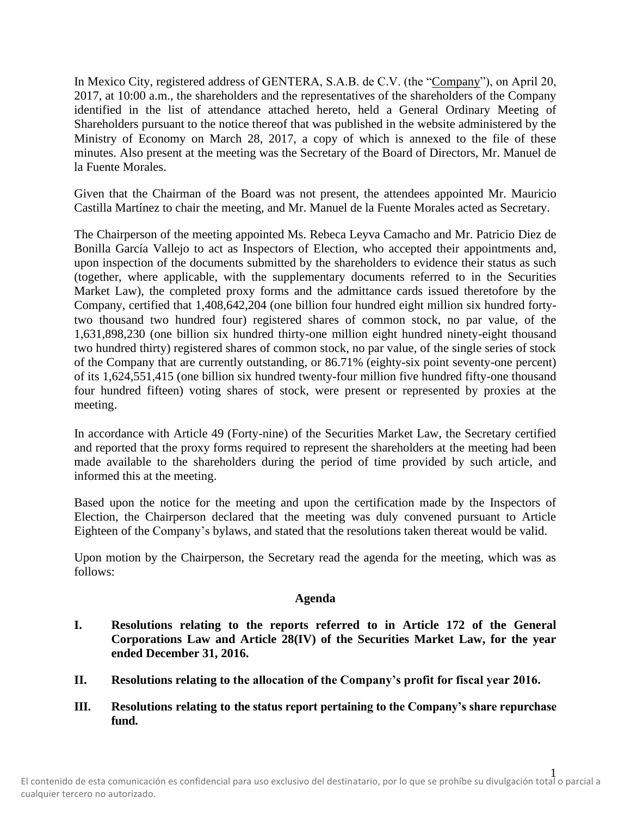In Mexico City, registered address of GENTERA, S.A.B. de C.V. (the "Company"), on April 20, 2017, at 10:00 a.m., the shareholders and the representatives of the shareholders of the Company identified in the list of attendance attached hereto, held a General Ordinary Meeting of Shareholders pursuant to the notice thereof that was published in the website administered by the Ministry of Economy on March 28, 2017, a copy of which is annexed to the file of these minutes. Also present at the meeting was the Secretary of the Board of Directors, Mr. Manuel de la Fuente Morales.

Given that the Chairman of the Board was not present, the attendees appointed Mr. Mauricio Castilla Martínez to chair the meeting, and Mr. Manuel de la Fuente Morales acted as Secretary.

The Chairperson of the meeting appointed Ms. Rebeca Leyva Camacho and Mr. Patricio Diez de Bonilla García Vallejo to act as Inspectors of Election, who accepted their appointments and, upon inspection of the documents submitted by the shareholders to evidence their status as such (together, where applicable, with the supplementary documents referred to in the Securities Market Law), the completed proxy forms and the admittance cards issued theretofore by the Company, certified that 1,408,642,204 (one billion four hundred eight million six hundred fortytwo thousand two hundred four) registered shares of common stock, no par value, of the 1,631,898,230 (one billion six hundred thirty-one million eight hundred ninety-eight thousand two hundred thirty) registered shares of common stock, no par value, of the single series of stock of the Company that are currently outstanding, or 86.71% (eighty-six point seventy-one percent) of its 1,624,551,415 (one billion six hundred twenty-four million five hundred fifty-one thousand four hundred fifteen) voting shares of stock, were present or represented by proxies at the meeting.

In accordance with Article 49 (Forty-nine) of the Securities Market Law, the Secretary certified and reported that the proxy forms required to represent the shareholders at the meeting had been made available to the shareholders during the period of time provided by such article, and informed this at the meeting.

Based upon the notice for the meeting and upon the certification made by the Inspectors of Election, the Chairperson declared that the meeting was duly convened pursuant to Article Eighteen of the Company's bylaws, and stated that the resolutions taken thereat would be valid.

Upon motion by the Chairperson, the Secretary read the agenda for the meeting, which was as follows:

### **Agenda**

- **I. Resolutions relating to the reports referred to in Article 172 of the General Corporations Law and Article 28(IV) of the Securities Market Law, for the year ended December 31, 2016.**
- **II. Resolutions relating to the allocation of the Company's profit for fiscal year 2016.**
- **III. Resolutions relating to the status report pertaining to the Company's share repurchase fund.**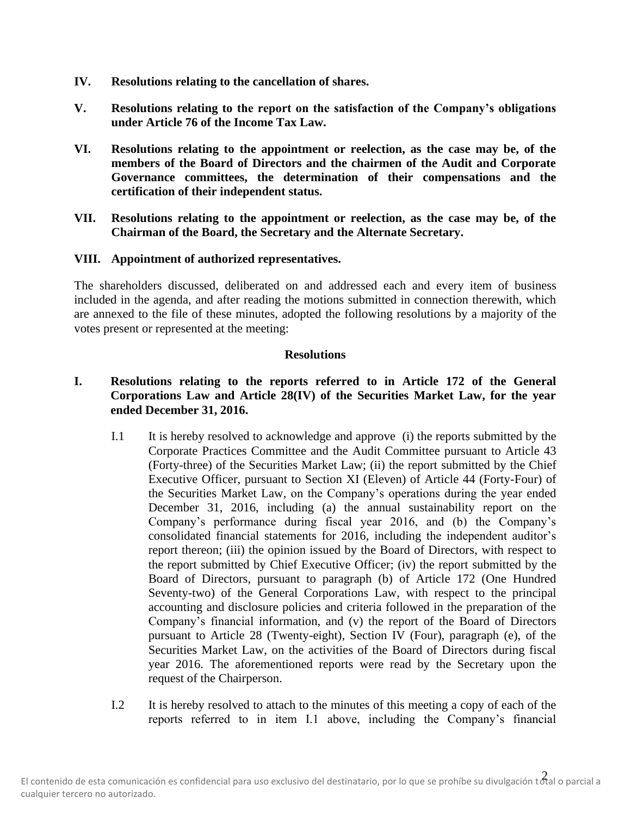- **IV. Resolutions relating to the cancellation of shares.**
- **V. Resolutions relating to the report on the satisfaction of the Company's obligations under Article 76 of the Income Tax Law.**
- **VI. Resolutions relating to the appointment or reelection, as the case may be, of the members of the Board of Directors and the chairmen of the Audit and Corporate Governance committees, the determination of their compensations and the certification of their independent status.**
- **VII. Resolutions relating to the appointment or reelection, as the case may be, of the Chairman of the Board, the Secretary and the Alternate Secretary.**

#### **VIII. Appointment of authorized representatives.**

The shareholders discussed, deliberated on and addressed each and every item of business included in the agenda, and after reading the motions submitted in connection therewith, which are annexed to the file of these minutes, adopted the following resolutions by a majority of the votes present or represented at the meeting:

#### **Resolutions**

# **I. Resolutions relating to the reports referred to in Article 172 of the General Corporations Law and Article 28(IV) of the Securities Market Law, for the year ended December 31, 2016.**

- I.1 It is hereby resolved to acknowledge and approve (i) the reports submitted by the Corporate Practices Committee and the Audit Committee pursuant to Article 43 (Forty-three) of the Securities Market Law; (ii) the report submitted by the Chief Executive Officer, pursuant to Section XI (Eleven) of Article 44 (Forty-Four) of the Securities Market Law, on the Company's operations during the year ended December 31, 2016, including (a) the annual sustainability report on the Company's performance during fiscal year 2016, and (b) the Company's consolidated financial statements for 2016, including the independent auditor's report thereon; (iii) the opinion issued by the Board of Directors, with respect to the report submitted by Chief Executive Officer; (iv) the report submitted by the Board of Directors, pursuant to paragraph (b) of Article 172 (One Hundred Seventy-two) of the General Corporations Law, with respect to the principal accounting and disclosure policies and criteria followed in the preparation of the Company's financial information, and (v) the report of the Board of Directors pursuant to Article 28 (Twenty-eight), Section IV (Four), paragraph (e), of the Securities Market Law, on the activities of the Board of Directors during fiscal year 2016. The aforementioned reports were read by the Secretary upon the request of the Chairperson.
- I.2 It is hereby resolved to attach to the minutes of this meeting a copy of each of the reports referred to in item I.1 above, including the Company's financial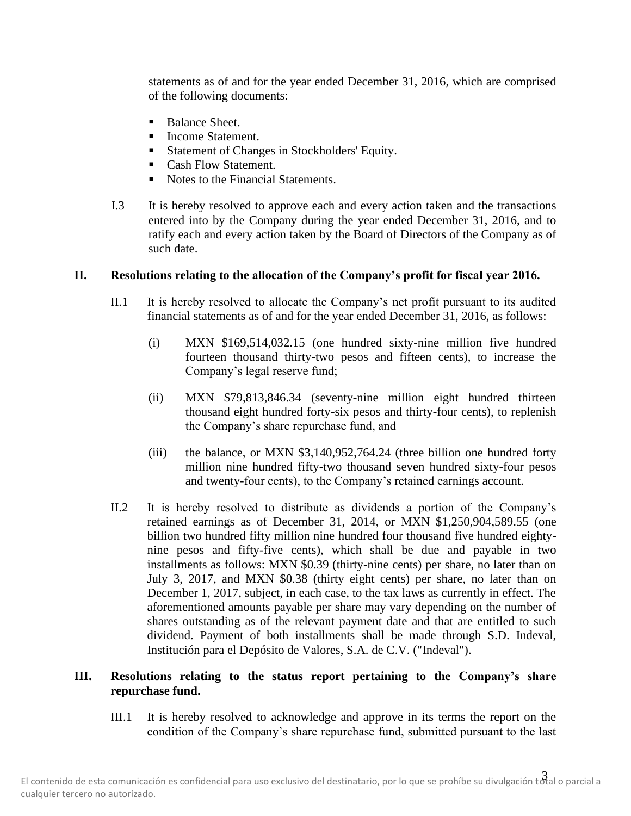statements as of and for the year ended December 31, 2016, which are comprised of the following documents:

- Balance Sheet.
- Income Statement.
- Statement of Changes in Stockholders' Equity.
- Cash Flow Statement.
- Notes to the Financial Statements.
- I.3 It is hereby resolved to approve each and every action taken and the transactions entered into by the Company during the year ended December 31, 2016, and to ratify each and every action taken by the Board of Directors of the Company as of such date.

# **II. Resolutions relating to the allocation of the Company's profit for fiscal year 2016.**

- II.1 It is hereby resolved to allocate the Company's net profit pursuant to its audited financial statements as of and for the year ended December 31, 2016, as follows:
	- (i) MXN \$169,514,032.15 (one hundred sixty-nine million five hundred fourteen thousand thirty-two pesos and fifteen cents), to increase the Company's legal reserve fund;
	- (ii) MXN \$79,813,846.34 (seventy-nine million eight hundred thirteen thousand eight hundred forty-six pesos and thirty-four cents), to replenish the Company's share repurchase fund, and
	- (iii) the balance, or MXN \$3,140,952,764.24 (three billion one hundred forty million nine hundred fifty-two thousand seven hundred sixty-four pesos and twenty-four cents), to the Company's retained earnings account.
- II.2 It is hereby resolved to distribute as dividends a portion of the Company's retained earnings as of December 31, 2014, or MXN \$1,250,904,589.55 (one billion two hundred fifty million nine hundred four thousand five hundred eightynine pesos and fifty-five cents), which shall be due and payable in two installments as follows: MXN \$0.39 (thirty-nine cents) per share, no later than on July 3, 2017, and MXN \$0.38 (thirty eight cents) per share, no later than on December 1, 2017, subject, in each case, to the tax laws as currently in effect. The aforementioned amounts payable per share may vary depending on the number of shares outstanding as of the relevant payment date and that are entitled to such dividend. Payment of both installments shall be made through S.D. Indeval, Institución para el Depósito de Valores, S.A. de C.V. ("Indeval").

# **III. Resolutions relating to the status report pertaining to the Company's share repurchase fund.**

III.1 It is hereby resolved to acknowledge and approve in its terms the report on the condition of the Company's share repurchase fund, submitted pursuant to the last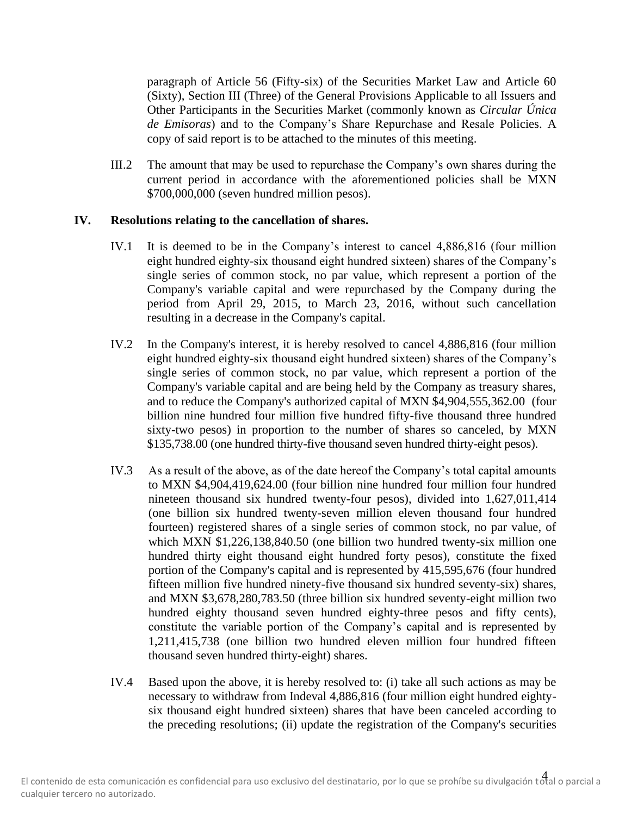paragraph of Article 56 (Fifty-six) of the Securities Market Law and Article 60 (Sixty), Section III (Three) of the General Provisions Applicable to all Issuers and Other Participants in the Securities Market (commonly known as *Circular Única de Emisoras*) and to the Company's Share Repurchase and Resale Policies. A copy of said report is to be attached to the minutes of this meeting.

III.2 The amount that may be used to repurchase the Company's own shares during the current period in accordance with the aforementioned policies shall be MXN \$700,000,000 (seven hundred million pesos).

#### **IV. Resolutions relating to the cancellation of shares.**

- IV.1 It is deemed to be in the Company's interest to cancel 4,886,816 (four million eight hundred eighty-six thousand eight hundred sixteen) shares of the Company's single series of common stock, no par value, which represent a portion of the Company's variable capital and were repurchased by the Company during the period from April 29, 2015, to March 23, 2016, without such cancellation resulting in a decrease in the Company's capital.
- IV.2 In the Company's interest, it is hereby resolved to cancel 4,886,816 (four million eight hundred eighty-six thousand eight hundred sixteen) shares of the Company's single series of common stock, no par value, which represent a portion of the Company's variable capital and are being held by the Company as treasury shares, and to reduce the Company's authorized capital of MXN \$4,904,555,362.00 (four billion nine hundred four million five hundred fifty-five thousand three hundred sixty-two pesos) in proportion to the number of shares so canceled, by MXN \$135,738.00 (one hundred thirty-five thousand seven hundred thirty-eight pesos).
- IV.3 As a result of the above, as of the date hereof the Company's total capital amounts to MXN \$4,904,419,624.00 (four billion nine hundred four million four hundred nineteen thousand six hundred twenty-four pesos), divided into 1,627,011,414 (one billion six hundred twenty-seven million eleven thousand four hundred fourteen) registered shares of a single series of common stock, no par value, of which MXN \$1,226,138,840.50 (one billion two hundred twenty-six million one hundred thirty eight thousand eight hundred forty pesos), constitute the fixed portion of the Company's capital and is represented by 415,595,676 (four hundred fifteen million five hundred ninety-five thousand six hundred seventy-six) shares, and MXN \$3,678,280,783.50 (three billion six hundred seventy-eight million two hundred eighty thousand seven hundred eighty-three pesos and fifty cents), constitute the variable portion of the Company's capital and is represented by 1,211,415,738 (one billion two hundred eleven million four hundred fifteen thousand seven hundred thirty-eight) shares.
- IV.4 Based upon the above, it is hereby resolved to: (i) take all such actions as may be necessary to withdraw from Indeval 4,886,816 (four million eight hundred eightysix thousand eight hundred sixteen) shares that have been canceled according to the preceding resolutions; (ii) update the registration of the Company's securities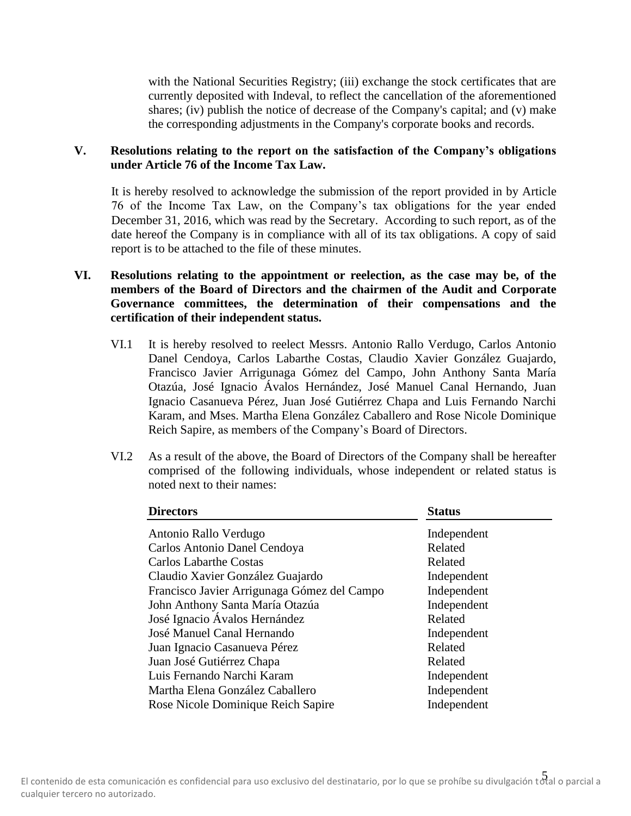with the National Securities Registry; (iii) exchange the stock certificates that are currently deposited with Indeval, to reflect the cancellation of the aforementioned shares; (iv) publish the notice of decrease of the Company's capital; and (v) make the corresponding adjustments in the Company's corporate books and records.

## **V. Resolutions relating to the report on the satisfaction of the Company's obligations under Article 76 of the Income Tax Law.**

It is hereby resolved to acknowledge the submission of the report provided in by Article 76 of the Income Tax Law, on the Company's tax obligations for the year ended December 31, 2016, which was read by the Secretary. According to such report, as of the date hereof the Company is in compliance with all of its tax obligations. A copy of said report is to be attached to the file of these minutes.

- **VI. Resolutions relating to the appointment or reelection, as the case may be, of the members of the Board of Directors and the chairmen of the Audit and Corporate Governance committees, the determination of their compensations and the certification of their independent status.**
	- VI.1 It is hereby resolved to reelect Messrs. Antonio Rallo Verdugo, Carlos Antonio Danel Cendoya, Carlos Labarthe Costas, Claudio Xavier González Guajardo, Francisco Javier Arrigunaga Gómez del Campo, John Anthony Santa María Otazúa, José Ignacio Ávalos Hernández, José Manuel Canal Hernando, Juan Ignacio Casanueva Pérez, Juan José Gutiérrez Chapa and Luis Fernando Narchi Karam, and Mses. Martha Elena González Caballero and Rose Nicole Dominique Reich Sapire, as members of the Company's Board of Directors.
	- VI.2 As a result of the above, the Board of Directors of the Company shall be hereafter comprised of the following individuals, whose independent or related status is noted next to their names:

| <b>Directors</b>                            | <b>Status</b> |
|---------------------------------------------|---------------|
| Antonio Rallo Verdugo                       | Independent   |
| Carlos Antonio Danel Cendoya                | Related       |
| <b>Carlos Labarthe Costas</b>               | Related       |
| Claudio Xavier González Guajardo            | Independent   |
| Francisco Javier Arrigunaga Gómez del Campo | Independent   |
| John Anthony Santa María Otazúa             | Independent   |
| José Ignacio Ávalos Hernández               | Related       |
| José Manuel Canal Hernando                  | Independent   |
| Juan Ignacio Casanueva Pérez                | Related       |
| Juan José Gutiérrez Chapa                   | Related       |
| Luis Fernando Narchi Karam                  | Independent   |
| Martha Elena González Caballero             | Independent   |
| Rose Nicole Dominique Reich Sapire          | Independent   |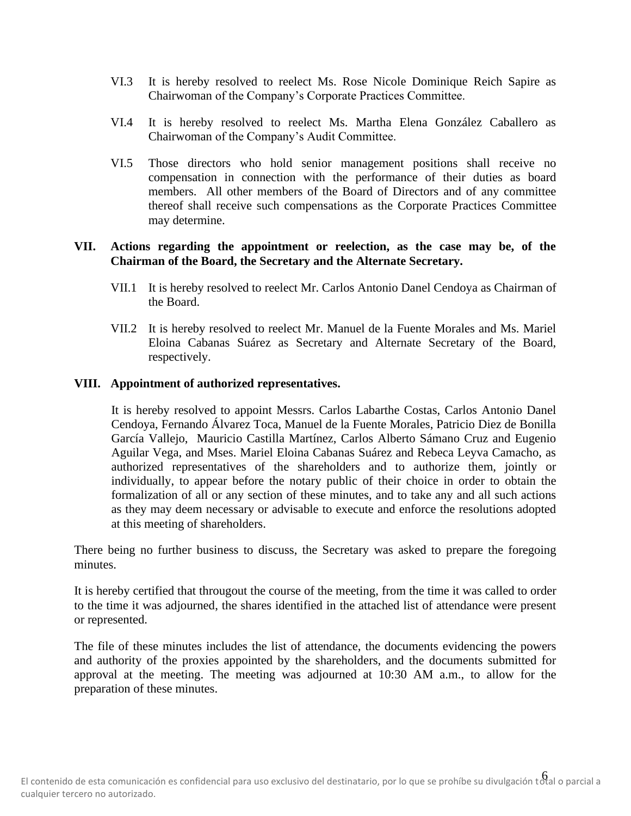- VI.3 It is hereby resolved to reelect Ms. Rose Nicole Dominique Reich Sapire as Chairwoman of the Company's Corporate Practices Committee.
- VI.4 It is hereby resolved to reelect Ms. Martha Elena González Caballero as Chairwoman of the Company's Audit Committee.
- VI.5 Those directors who hold senior management positions shall receive no compensation in connection with the performance of their duties as board members. All other members of the Board of Directors and of any committee thereof shall receive such compensations as the Corporate Practices Committee may determine.

### **VII. Actions regarding the appointment or reelection, as the case may be, of the Chairman of the Board, the Secretary and the Alternate Secretary.**

- VII.1 It is hereby resolved to reelect Mr. Carlos Antonio Danel Cendoya as Chairman of the Board.
- VII.2 It is hereby resolved to reelect Mr. Manuel de la Fuente Morales and Ms. Mariel Eloina Cabanas Suárez as Secretary and Alternate Secretary of the Board, respectively.

### **VIII. Appointment of authorized representatives.**

It is hereby resolved to appoint Messrs. Carlos Labarthe Costas, Carlos Antonio Danel Cendoya, Fernando Álvarez Toca, Manuel de la Fuente Morales, Patricio Diez de Bonilla García Vallejo, Mauricio Castilla Martínez, Carlos Alberto Sámano Cruz and Eugenio Aguilar Vega, and Mses. Mariel Eloina Cabanas Suárez and Rebeca Leyva Camacho, as authorized representatives of the shareholders and to authorize them, jointly or individually, to appear before the notary public of their choice in order to obtain the formalization of all or any section of these minutes, and to take any and all such actions as they may deem necessary or advisable to execute and enforce the resolutions adopted at this meeting of shareholders.

There being no further business to discuss, the Secretary was asked to prepare the foregoing minutes.

It is hereby certified that througout the course of the meeting, from the time it was called to order to the time it was adjourned, the shares identified in the attached list of attendance were present or represented.

The file of these minutes includes the list of attendance, the documents evidencing the powers and authority of the proxies appointed by the shareholders, and the documents submitted for approval at the meeting. The meeting was adjourned at 10:30 AM a.m., to allow for the preparation of these minutes.